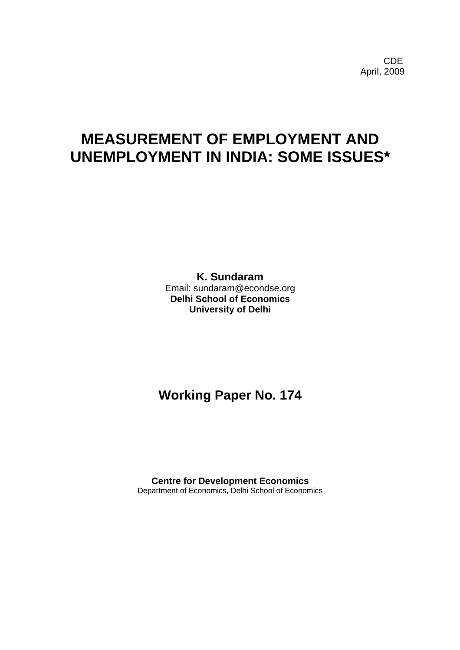**CDE COLLECTION** April, 2009

# **MEASUREMENT OF EMPLOYMENT AND UNEMPLOYMENT IN INDIA: SOME ISSUES\***

**K. Sundaram**  Email: sundaram@econdse.org **Delhi School of Economics University of Delhi** 

## **Working Paper No. 174**

**Centre for Development Economics**  Department of Economics, Delhi School of Economics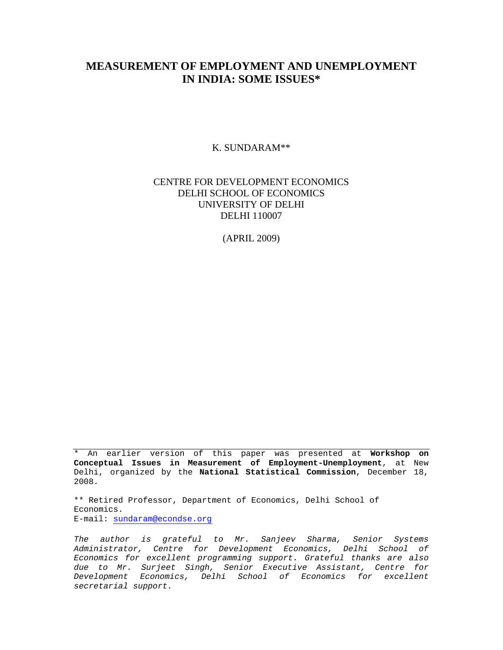## **MEASUREMENT OF EMPLOYMENT AND UNEMPLOYMENT IN INDIA: SOME ISSUES\***

K. SUNDARAM\*\*

### CENTRE FOR DEVELOPMENT ECONOMICS DELHI SCHOOL OF ECONOMICS UNIVERSITY OF DELHI DELHI 110007

(APRIL 2009)

\* An earlier version of this paper was presented at **Workshop on Conceptual Issues in Measurement of Employment-Unemployment**, at New Delhi, organized by the **National Statistical Commission**, December 18, 2008.

\*\* Retired Professor, Department of Economics, Delhi School of Economics. E-mail: [sundaram@econdse.org](mailto:sundaram@econdse.org)

*The author is grateful to Mr. Sanjeev Sharma, Senior Systems Administrator, Centre for Development Economics, Delhi School of Economics for excellent programming support. Grateful thanks are also due to Mr. Surjeet Singh, Senior Executive Assistant, Centre for Development Economics, Delhi School of Economics for excellent secretarial support.*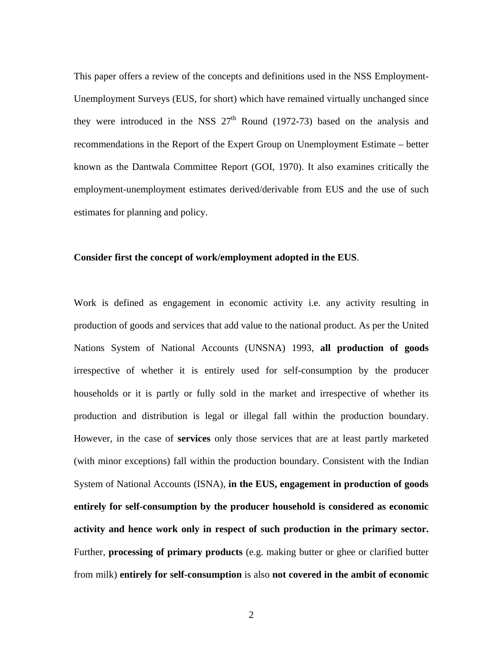This paper offers a review of the concepts and definitions used in the NSS Employment-Unemployment Surveys (EUS, for short) which have remained virtually unchanged since they were introduced in the NSS  $27<sup>th</sup>$  Round (1972-73) based on the analysis and recommendations in the Report of the Expert Group on Unemployment Estimate – better known as the Dantwala Committee Report (GOI, 1970). It also examines critically the employment-unemployment estimates derived/derivable from EUS and the use of such estimates for planning and policy.

#### **Consider first the concept of work/employment adopted in the EUS**.

Work is defined as engagement in economic activity i.e. any activity resulting in production of goods and services that add value to the national product. As per the United Nations System of National Accounts (UNSNA) 1993, **all production of goods** irrespective of whether it is entirely used for self-consumption by the producer households or it is partly or fully sold in the market and irrespective of whether its production and distribution is legal or illegal fall within the production boundary. However, in the case of **services** only those services that are at least partly marketed (with minor exceptions) fall within the production boundary. Consistent with the Indian System of National Accounts (ISNA), **in the EUS, engagement in production of goods entirely for self-consumption by the producer household is considered as economic activity and hence work only in respect of such production in the primary sector.** Further, **processing of primary products** (e.g. making butter or ghee or clarified butter from milk) **entirely for self-consumption** is also **not covered in the ambit of economic**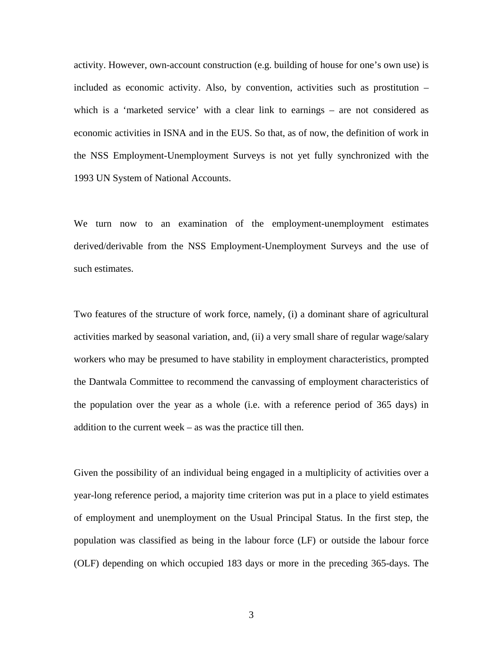activity. However, own-account construction (e.g. building of house for one's own use) is included as economic activity. Also, by convention, activities such as prostitution – which is a 'marketed service' with a clear link to earnings – are not considered as economic activities in ISNA and in the EUS. So that, as of now, the definition of work in the NSS Employment-Unemployment Surveys is not yet fully synchronized with the 1993 UN System of National Accounts.

We turn now to an examination of the employment-unemployment estimates derived/derivable from the NSS Employment-Unemployment Surveys and the use of such estimates.

Two features of the structure of work force, namely, (i) a dominant share of agricultural activities marked by seasonal variation, and, (ii) a very small share of regular wage/salary workers who may be presumed to have stability in employment characteristics, prompted the Dantwala Committee to recommend the canvassing of employment characteristics of the population over the year as a whole (i.e. with a reference period of 365 days) in addition to the current week – as was the practice till then.

Given the possibility of an individual being engaged in a multiplicity of activities over a year-long reference period, a majority time criterion was put in a place to yield estimates of employment and unemployment on the Usual Principal Status. In the first step, the population was classified as being in the labour force (LF) or outside the labour force (OLF) depending on which occupied 183 days or more in the preceding 365-days. The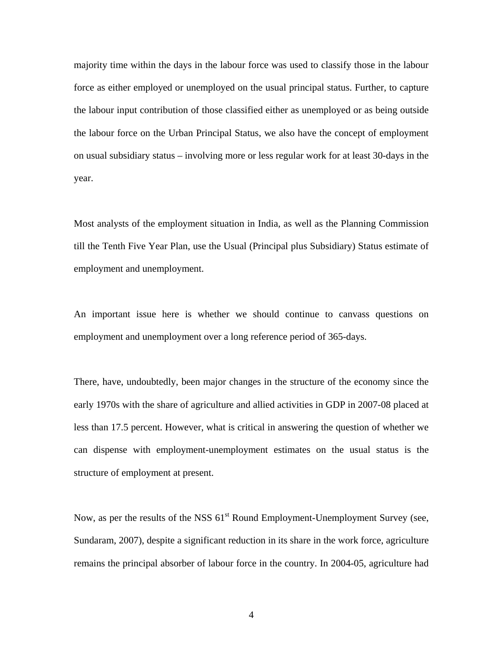majority time within the days in the labour force was used to classify those in the labour force as either employed or unemployed on the usual principal status. Further, to capture the labour input contribution of those classified either as unemployed or as being outside the labour force on the Urban Principal Status, we also have the concept of employment on usual subsidiary status – involving more or less regular work for at least 30-days in the year.

Most analysts of the employment situation in India, as well as the Planning Commission till the Tenth Five Year Plan, use the Usual (Principal plus Subsidiary) Status estimate of employment and unemployment.

An important issue here is whether we should continue to canvass questions on employment and unemployment over a long reference period of 365-days.

There, have, undoubtedly, been major changes in the structure of the economy since the early 1970s with the share of agriculture and allied activities in GDP in 2007-08 placed at less than 17.5 percent. However, what is critical in answering the question of whether we can dispense with employment-unemployment estimates on the usual status is the structure of employment at present.

Now, as per the results of the NSS  $61<sup>st</sup>$  Round Employment-Unemployment Survey (see, Sundaram, 2007), despite a significant reduction in its share in the work force, agriculture remains the principal absorber of labour force in the country. In 2004-05, agriculture had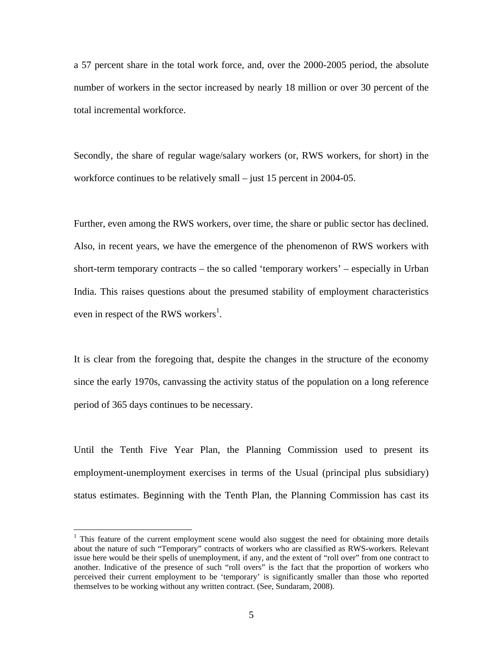a 57 percent share in the total work force, and, over the 2000-2005 period, the absolute number of workers in the sector increased by nearly 18 million or over 30 percent of the total incremental workforce.

Secondly, the share of regular wage/salary workers (or, RWS workers, for short) in the workforce continues to be relatively small – just 15 percent in 2004-05.

Further, even among the RWS workers, over time, the share or public sector has declined. Also, in recent years, we have the emergence of the phenomenon of RWS workers with short-term temporary contracts – the so called 'temporary workers' – especially in Urban India. This raises questions about the presumed stability of employment characteristics even in respect of the RWS workers<sup>[1](#page-5-0)</sup>.

It is clear from the foregoing that, despite the changes in the structure of the economy since the early 1970s, canvassing the activity status of the population on a long reference period of 365 days continues to be necessary.

Until the Tenth Five Year Plan, the Planning Commission used to present its employment-unemployment exercises in terms of the Usual (principal plus subsidiary) status estimates. Beginning with the Tenth Plan, the Planning Commission has cast its

1

<span id="page-5-0"></span><sup>&</sup>lt;sup>1</sup> This feature of the current employment scene would also suggest the need for obtaining more details about the nature of such "Temporary" contracts of workers who are classified as RWS-workers. Relevant issue here would be their spells of unemployment, if any, and the extent of "roll over" from one contract to another. Indicative of the presence of such "roll overs" is the fact that the proportion of workers who perceived their current employment to be 'temporary' is significantly smaller than those who reported themselves to be working without any written contract. (See, Sundaram, 2008).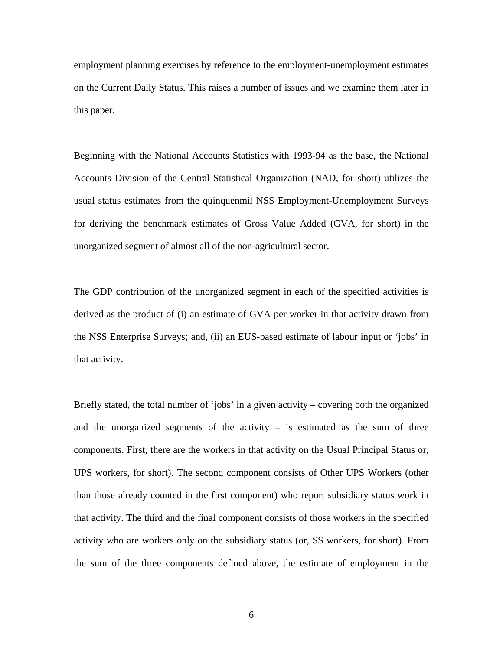employment planning exercises by reference to the employment-unemployment estimates on the Current Daily Status. This raises a number of issues and we examine them later in this paper.

Beginning with the National Accounts Statistics with 1993-94 as the base, the National Accounts Division of the Central Statistical Organization (NAD, for short) utilizes the usual status estimates from the quinquenmil NSS Employment-Unemployment Surveys for deriving the benchmark estimates of Gross Value Added (GVA, for short) in the unorganized segment of almost all of the non-agricultural sector.

The GDP contribution of the unorganized segment in each of the specified activities is derived as the product of (i) an estimate of GVA per worker in that activity drawn from the NSS Enterprise Surveys; and, (ii) an EUS-based estimate of labour input or 'jobs' in that activity.

Briefly stated, the total number of 'jobs' in a given activity – covering both the organized and the unorganized segments of the activity  $-$  is estimated as the sum of three components. First, there are the workers in that activity on the Usual Principal Status or, UPS workers, for short). The second component consists of Other UPS Workers (other than those already counted in the first component) who report subsidiary status work in that activity. The third and the final component consists of those workers in the specified activity who are workers only on the subsidiary status (or, SS workers, for short). From the sum of the three components defined above, the estimate of employment in the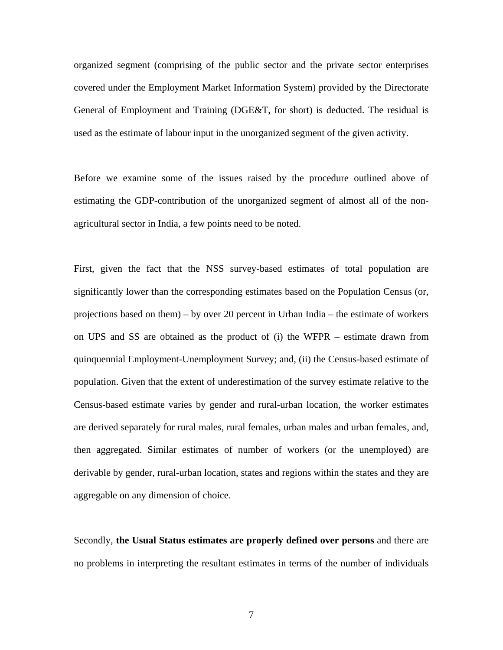organized segment (comprising of the public sector and the private sector enterprises covered under the Employment Market Information System) provided by the Directorate General of Employment and Training (DGE&T, for short) is deducted. The residual is used as the estimate of labour input in the unorganized segment of the given activity.

Before we examine some of the issues raised by the procedure outlined above of estimating the GDP-contribution of the unorganized segment of almost all of the nonagricultural sector in India, a few points need to be noted.

First, given the fact that the NSS survey-based estimates of total population are significantly lower than the corresponding estimates based on the Population Census (or, projections based on them) – by over 20 percent in Urban India – the estimate of workers on UPS and SS are obtained as the product of (i) the WFPR – estimate drawn from quinquennial Employment-Unemployment Survey; and, (ii) the Census-based estimate of population. Given that the extent of underestimation of the survey estimate relative to the Census-based estimate varies by gender and rural-urban location, the worker estimates are derived separately for rural males, rural females, urban males and urban females, and, then aggregated. Similar estimates of number of workers (or the unemployed) are derivable by gender, rural-urban location, states and regions within the states and they are aggregable on any dimension of choice.

Secondly, **the Usual Status estimates are properly defined over persons** and there are no problems in interpreting the resultant estimates in terms of the number of individuals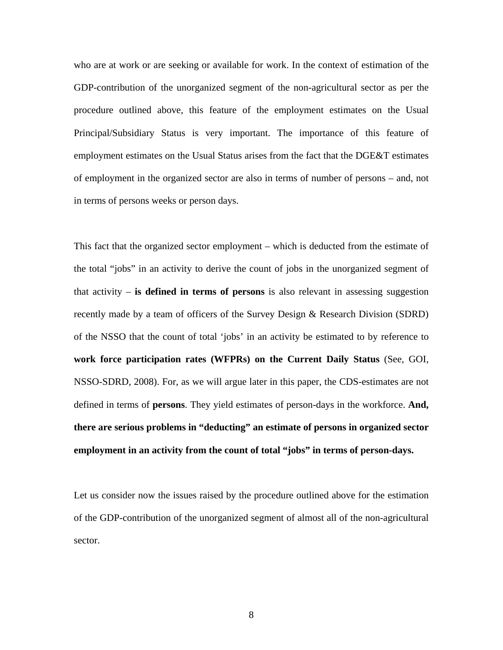who are at work or are seeking or available for work. In the context of estimation of the GDP-contribution of the unorganized segment of the non-agricultural sector as per the procedure outlined above, this feature of the employment estimates on the Usual Principal/Subsidiary Status is very important. The importance of this feature of employment estimates on the Usual Status arises from the fact that the DGE&T estimates of employment in the organized sector are also in terms of number of persons – and, not in terms of persons weeks or person days.

This fact that the organized sector employment – which is deducted from the estimate of the total "jobs" in an activity to derive the count of jobs in the unorganized segment of that activity – **is defined in terms of persons** is also relevant in assessing suggestion recently made by a team of officers of the Survey Design & Research Division (SDRD) of the NSSO that the count of total 'jobs' in an activity be estimated to by reference to **work force participation rates (WFPRs) on the Current Daily Status** (See, GOI, NSSO-SDRD, 2008). For, as we will argue later in this paper, the CDS-estimates are not defined in terms of **persons**. They yield estimates of person-days in the workforce. **And, there are serious problems in "deducting" an estimate of persons in organized sector employment in an activity from the count of total "jobs" in terms of person-days.** 

Let us consider now the issues raised by the procedure outlined above for the estimation of the GDP-contribution of the unorganized segment of almost all of the non-agricultural sector.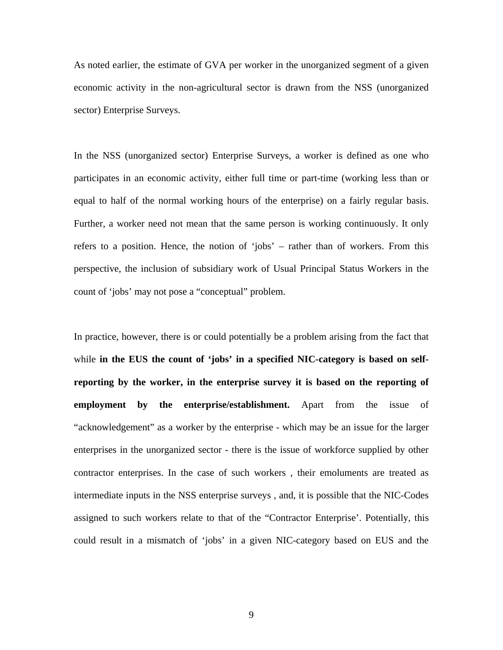As noted earlier, the estimate of GVA per worker in the unorganized segment of a given economic activity in the non-agricultural sector is drawn from the NSS (unorganized sector) Enterprise Surveys.

In the NSS (unorganized sector) Enterprise Surveys, a worker is defined as one who participates in an economic activity, either full time or part-time (working less than or equal to half of the normal working hours of the enterprise) on a fairly regular basis. Further, a worker need not mean that the same person is working continuously. It only refers to a position. Hence, the notion of 'jobs' – rather than of workers. From this perspective, the inclusion of subsidiary work of Usual Principal Status Workers in the count of 'jobs' may not pose a "conceptual" problem.

In practice, however, there is or could potentially be a problem arising from the fact that while **in the EUS the count of 'jobs' in a specified NIC-category is based on selfreporting by the worker, in the enterprise survey it is based on the reporting of employment by the enterprise/establishment.** Apart from the issue of "acknowledgement" as a worker by the enterprise - which may be an issue for the larger enterprises in the unorganized sector - there is the issue of workforce supplied by other contractor enterprises. In the case of such workers , their emoluments are treated as intermediate inputs in the NSS enterprise surveys , and, it is possible that the NIC-Codes assigned to such workers relate to that of the "Contractor Enterprise'. Potentially, this could result in a mismatch of 'jobs' in a given NIC-category based on EUS and the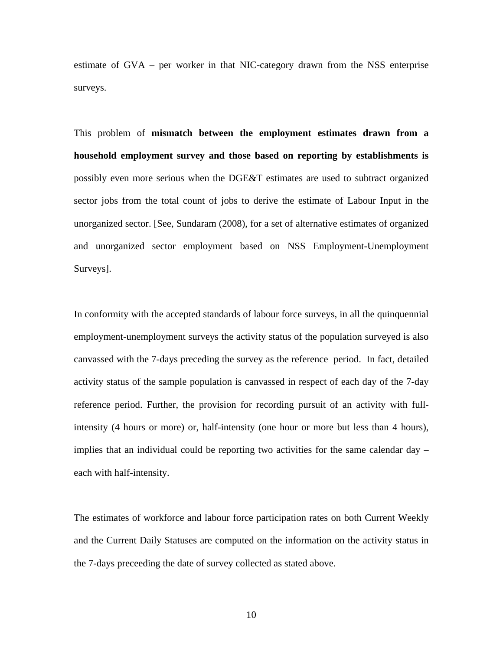estimate of GVA – per worker in that NIC-category drawn from the NSS enterprise surveys.

This problem of **mismatch between the employment estimates drawn from a household employment survey and those based on reporting by establishments is** possibly even more serious when the DGE&T estimates are used to subtract organized sector jobs from the total count of jobs to derive the estimate of Labour Input in the unorganized sector. [See, Sundaram (2008), for a set of alternative estimates of organized and unorganized sector employment based on NSS Employment-Unemployment Surveys].

In conformity with the accepted standards of labour force surveys, in all the quinquennial employment-unemployment surveys the activity status of the population surveyed is also canvassed with the 7-days preceding the survey as the reference period. In fact, detailed activity status of the sample population is canvassed in respect of each day of the 7-day reference period. Further, the provision for recording pursuit of an activity with fullintensity (4 hours or more) or, half-intensity (one hour or more but less than 4 hours), implies that an individual could be reporting two activities for the same calendar day – each with half-intensity.

The estimates of workforce and labour force participation rates on both Current Weekly and the Current Daily Statuses are computed on the information on the activity status in the 7-days preceeding the date of survey collected as stated above.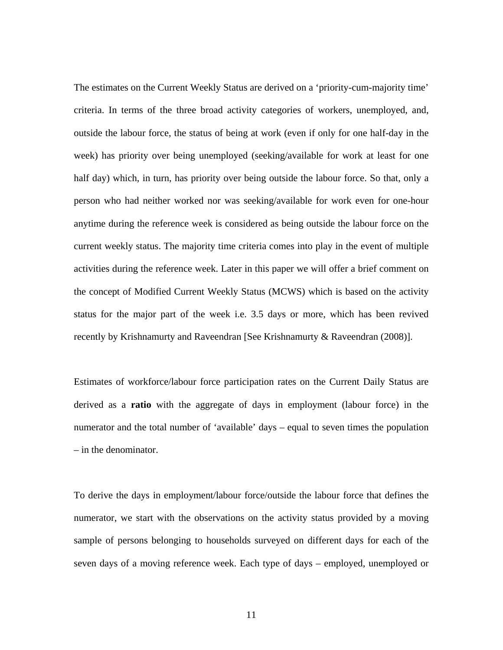The estimates on the Current Weekly Status are derived on a 'priority-cum-majority time' criteria. In terms of the three broad activity categories of workers, unemployed, and, outside the labour force, the status of being at work (even if only for one half-day in the week) has priority over being unemployed (seeking/available for work at least for one half day) which, in turn, has priority over being outside the labour force. So that, only a person who had neither worked nor was seeking/available for work even for one-hour anytime during the reference week is considered as being outside the labour force on the current weekly status. The majority time criteria comes into play in the event of multiple activities during the reference week. Later in this paper we will offer a brief comment on the concept of Modified Current Weekly Status (MCWS) which is based on the activity status for the major part of the week i.e. 3.5 days or more, which has been revived recently by Krishnamurty and Raveendran [See Krishnamurty & Raveendran (2008)].

Estimates of workforce/labour force participation rates on the Current Daily Status are derived as a **ratio** with the aggregate of days in employment (labour force) in the numerator and the total number of 'available' days – equal to seven times the population – in the denominator.

To derive the days in employment/labour force/outside the labour force that defines the numerator, we start with the observations on the activity status provided by a moving sample of persons belonging to households surveyed on different days for each of the seven days of a moving reference week. Each type of days – employed, unemployed or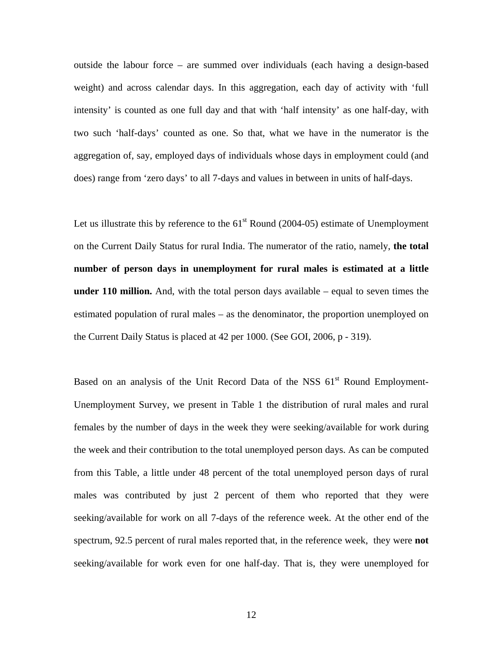outside the labour force – are summed over individuals (each having a design-based weight) and across calendar days. In this aggregation, each day of activity with 'full intensity' is counted as one full day and that with 'half intensity' as one half-day, with two such 'half-days' counted as one. So that, what we have in the numerator is the aggregation of, say, employed days of individuals whose days in employment could (and does) range from 'zero days' to all 7-days and values in between in units of half-days.

Let us illustrate this by reference to the  $61<sup>st</sup>$  Round (2004-05) estimate of Unemployment on the Current Daily Status for rural India. The numerator of the ratio, namely, **the total number of person days in unemployment for rural males is estimated at a little under 110 million.** And, with the total person days available – equal to seven times the estimated population of rural males – as the denominator, the proportion unemployed on the Current Daily Status is placed at 42 per 1000. (See GOI, 2006, p - 319).

Based on an analysis of the Unit Record Data of the NSS  $61<sup>st</sup>$  Round Employment-Unemployment Survey, we present in Table 1 the distribution of rural males and rural females by the number of days in the week they were seeking/available for work during the week and their contribution to the total unemployed person days. As can be computed from this Table, a little under 48 percent of the total unemployed person days of rural males was contributed by just 2 percent of them who reported that they were seeking/available for work on all 7-days of the reference week. At the other end of the spectrum, 92.5 percent of rural males reported that, in the reference week, they were **not** seeking/available for work even for one half-day. That is, they were unemployed for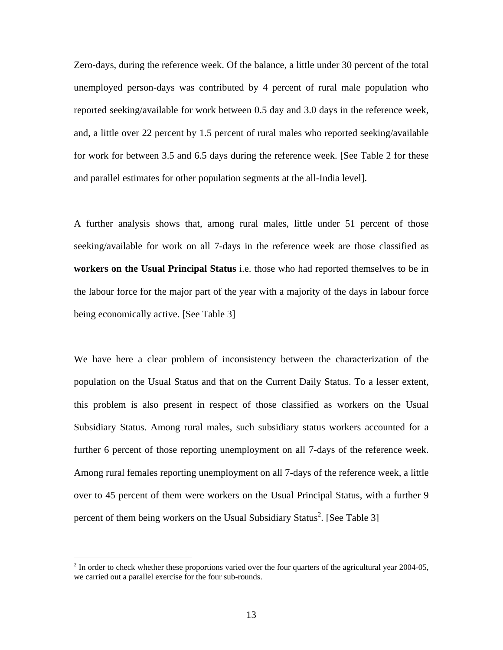Zero-days, during the reference week. Of the balance, a little under 30 percent of the total unemployed person-days was contributed by 4 percent of rural male population who reported seeking/available for work between 0.5 day and 3.0 days in the reference week, and, a little over 22 percent by 1.5 percent of rural males who reported seeking/available for work for between 3.5 and 6.5 days during the reference week. [See Table 2 for these and parallel estimates for other population segments at the all-India level].

A further analysis shows that, among rural males, little under 51 percent of those seeking/available for work on all 7-days in the reference week are those classified as **workers on the Usual Principal Status** i.e. those who had reported themselves to be in the labour force for the major part of the year with a majority of the days in labour force being economically active. [See Table 3]

We have here a clear problem of inconsistency between the characterization of the population on the Usual Status and that on the Current Daily Status. To a lesser extent, this problem is also present in respect of those classified as workers on the Usual Subsidiary Status. Among rural males, such subsidiary status workers accounted for a further 6 percent of those reporting unemployment on all 7-days of the reference week. Among rural females reporting unemployment on all 7-days of the reference week, a little over to 45 percent of them were workers on the Usual Principal Status, with a further 9 percent of them being workers on the Usual Subsidiary Status<sup>[2](#page-13-0)</sup>. [See Table 3]

1

<span id="page-13-0"></span> $2^{2}$  In order to check whether these proportions varied over the four quarters of the agricultural year 2004-05, we carried out a parallel exercise for the four sub-rounds.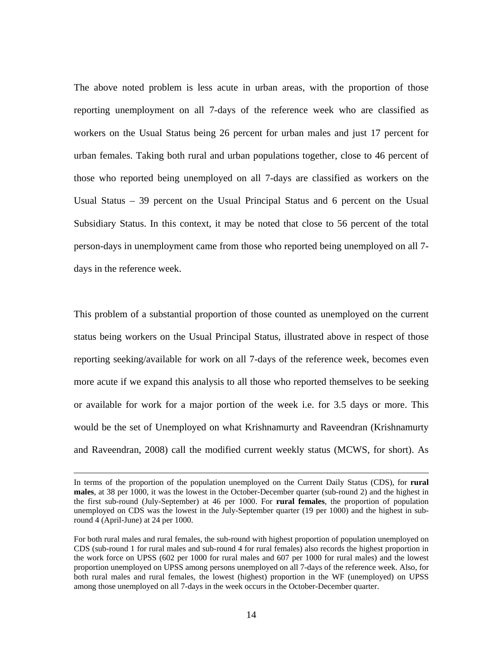The above noted problem is less acute in urban areas, with the proportion of those reporting unemployment on all 7-days of the reference week who are classified as workers on the Usual Status being 26 percent for urban males and just 17 percent for urban females. Taking both rural and urban populations together, close to 46 percent of those who reported being unemployed on all 7-days are classified as workers on the Usual Status – 39 percent on the Usual Principal Status and 6 percent on the Usual Subsidiary Status. In this context, it may be noted that close to 56 percent of the total person-days in unemployment came from those who reported being unemployed on all 7 days in the reference week.

This problem of a substantial proportion of those counted as unemployed on the current status being workers on the Usual Principal Status, illustrated above in respect of those reporting seeking/available for work on all 7-days of the reference week, becomes even more acute if we expand this analysis to all those who reported themselves to be seeking or available for work for a major portion of the week i.e. for 3.5 days or more. This would be the set of Unemployed on what Krishnamurty and Raveendran (Krishnamurty and Raveendran, 2008) call the modified current weekly status (MCWS, for short). As

In terms of the proportion of the population unemployed on the Current Daily Status (CDS), for **rural males**, at 38 per 1000, it was the lowest in the October-December quarter (sub-round 2) and the highest in the first sub-round (July-September) at 46 per 1000. For **rural females**, the proportion of population unemployed on CDS was the lowest in the July-September quarter (19 per 1000) and the highest in subround 4 (April-June) at 24 per 1000.

For both rural males and rural females, the sub-round with highest proportion of population unemployed on CDS (sub-round 1 for rural males and sub-round 4 for rural females) also records the highest proportion in the work force on UPSS (602 per 1000 for rural males and 607 per 1000 for rural males) and the lowest proportion unemployed on UPSS among persons unemployed on all 7-days of the reference week. Also, for both rural males and rural females, the lowest (highest) proportion in the WF (unemployed) on UPSS among those unemployed on all 7-days in the week occurs in the October-December quarter.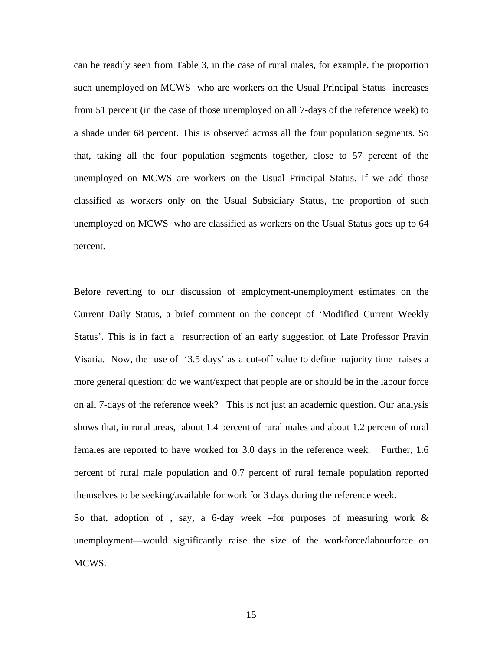can be readily seen from Table 3, in the case of rural males, for example, the proportion such unemployed on MCWS who are workers on the Usual Principal Status increases from 51 percent (in the case of those unemployed on all 7-days of the reference week) to a shade under 68 percent. This is observed across all the four population segments. So that, taking all the four population segments together, close to 57 percent of the unemployed on MCWS are workers on the Usual Principal Status. If we add those classified as workers only on the Usual Subsidiary Status, the proportion of such unemployed on MCWS who are classified as workers on the Usual Status goes up to 64 percent.

Before reverting to our discussion of employment-unemployment estimates on the Current Daily Status, a brief comment on the concept of 'Modified Current Weekly Status'. This is in fact a resurrection of an early suggestion of Late Professor Pravin Visaria. Now, the use of '3.5 days' as a cut-off value to define majority time raises a more general question: do we want/expect that people are or should be in the labour force on all 7-days of the reference week? This is not just an academic question. Our analysis shows that, in rural areas, about 1.4 percent of rural males and about 1.2 percent of rural females are reported to have worked for 3.0 days in the reference week. Further, 1.6 percent of rural male population and 0.7 percent of rural female population reported themselves to be seeking/available for work for 3 days during the reference week.

So that, adoption of , say, a 6-day week –for purposes of measuring work & unemployment—would significantly raise the size of the workforce/labourforce on MCWS.

15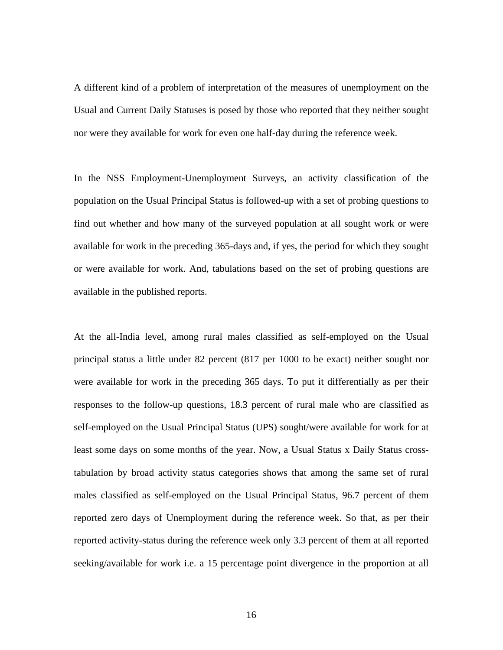A different kind of a problem of interpretation of the measures of unemployment on the Usual and Current Daily Statuses is posed by those who reported that they neither sought nor were they available for work for even one half-day during the reference week.

In the NSS Employment-Unemployment Surveys, an activity classification of the population on the Usual Principal Status is followed-up with a set of probing questions to find out whether and how many of the surveyed population at all sought work or were available for work in the preceding 365-days and, if yes, the period for which they sought or were available for work. And, tabulations based on the set of probing questions are available in the published reports.

At the all-India level, among rural males classified as self-employed on the Usual principal status a little under 82 percent (817 per 1000 to be exact) neither sought nor were available for work in the preceding 365 days. To put it differentially as per their responses to the follow-up questions, 18.3 percent of rural male who are classified as self-employed on the Usual Principal Status (UPS) sought/were available for work for at least some days on some months of the year. Now, a Usual Status x Daily Status crosstabulation by broad activity status categories shows that among the same set of rural males classified as self-employed on the Usual Principal Status, 96.7 percent of them reported zero days of Unemployment during the reference week. So that, as per their reported activity-status during the reference week only 3.3 percent of them at all reported seeking/available for work i.e. a 15 percentage point divergence in the proportion at all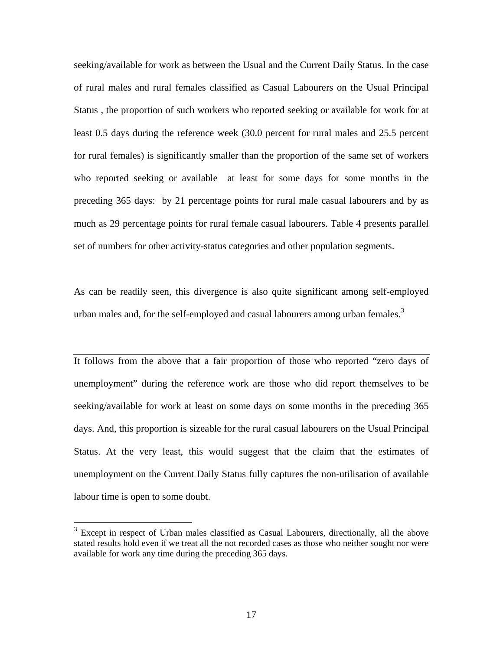seeking/available for work as between the Usual and the Current Daily Status. In the case of rural males and rural females classified as Casual Labourers on the Usual Principal Status , the proportion of such workers who reported seeking or available for work for at least 0.5 days during the reference week (30.0 percent for rural males and 25.5 percent for rural females) is significantly smaller than the proportion of the same set of workers who reported seeking or available at least for some days for some months in the preceding 365 days: by 21 percentage points for rural male casual labourers and by as much as 29 percentage points for rural female casual labourers. Table 4 presents parallel set of numbers for other activity-status categories and other population segments.

As can be readily seen, this divergence is also quite significant among self-employed urban males and, for the self-employed and casual labourers among urban females.<sup>[3](#page-17-0)</sup>

It follows from the above that a fair proportion of those who reported "zero days of unemployment" during the reference work are those who did report themselves to be seeking/available for work at least on some days on some months in the preceding 365 days. And, this proportion is sizeable for the rural casual labourers on the Usual Principal Status. At the very least, this would suggest that the claim that the estimates of unemployment on the Current Daily Status fully captures the non-utilisation of available labour time is open to some doubt.

 $\overline{a}$ 

<span id="page-17-0"></span> $3$  Except in respect of Urban males classified as Casual Labourers, directionally, all the above stated results hold even if we treat all the not recorded cases as those who neither sought nor were available for work any time during the preceding 365 days.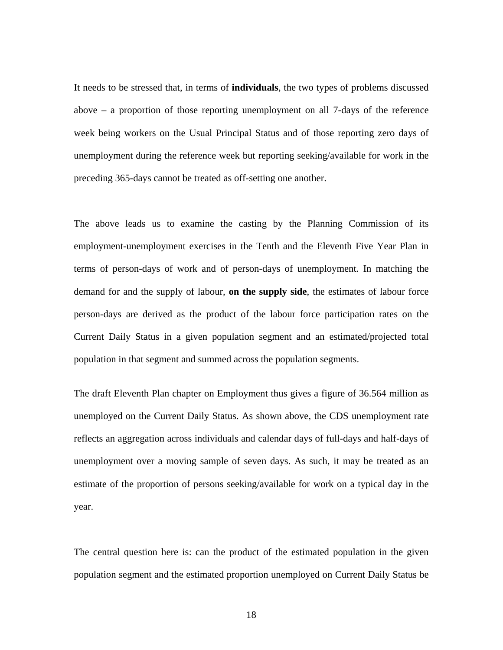It needs to be stressed that, in terms of **individuals**, the two types of problems discussed above – a proportion of those reporting unemployment on all 7-days of the reference week being workers on the Usual Principal Status and of those reporting zero days of unemployment during the reference week but reporting seeking/available for work in the preceding 365-days cannot be treated as off-setting one another.

The above leads us to examine the casting by the Planning Commission of its employment-unemployment exercises in the Tenth and the Eleventh Five Year Plan in terms of person-days of work and of person-days of unemployment. In matching the demand for and the supply of labour, **on the supply side**, the estimates of labour force person-days are derived as the product of the labour force participation rates on the Current Daily Status in a given population segment and an estimated/projected total population in that segment and summed across the population segments.

The draft Eleventh Plan chapter on Employment thus gives a figure of 36.564 million as unemployed on the Current Daily Status. As shown above, the CDS unemployment rate reflects an aggregation across individuals and calendar days of full-days and half-days of unemployment over a moving sample of seven days. As such, it may be treated as an estimate of the proportion of persons seeking/available for work on a typical day in the year.

The central question here is: can the product of the estimated population in the given population segment and the estimated proportion unemployed on Current Daily Status be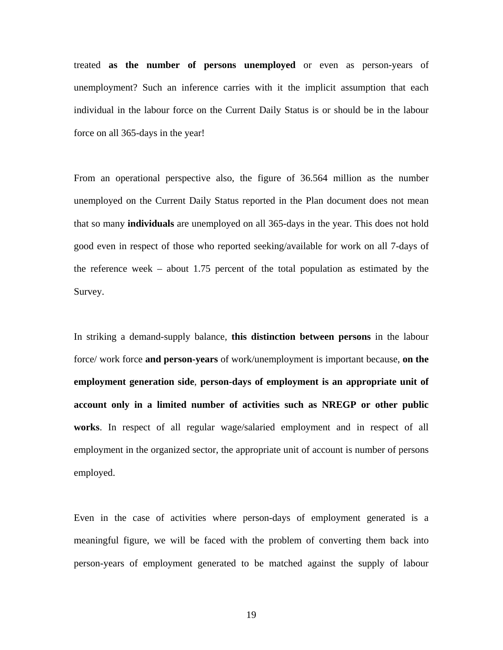treated **as the number of persons unemployed** or even as person-years of unemployment? Such an inference carries with it the implicit assumption that each individual in the labour force on the Current Daily Status is or should be in the labour force on all 365-days in the year!

From an operational perspective also, the figure of 36.564 million as the number unemployed on the Current Daily Status reported in the Plan document does not mean that so many **individuals** are unemployed on all 365-days in the year. This does not hold good even in respect of those who reported seeking/available for work on all 7-days of the reference week – about 1.75 percent of the total population as estimated by the Survey.

In striking a demand-supply balance, **this distinction between persons** in the labour force/ work force **and person-years** of work/unemployment is important because, **on the employment generation side**, **person-days of employment is an appropriate unit of account only in a limited number of activities such as NREGP or other public works**. In respect of all regular wage/salaried employment and in respect of all employment in the organized sector, the appropriate unit of account is number of persons employed.

Even in the case of activities where person-days of employment generated is a meaningful figure, we will be faced with the problem of converting them back into person-years of employment generated to be matched against the supply of labour

19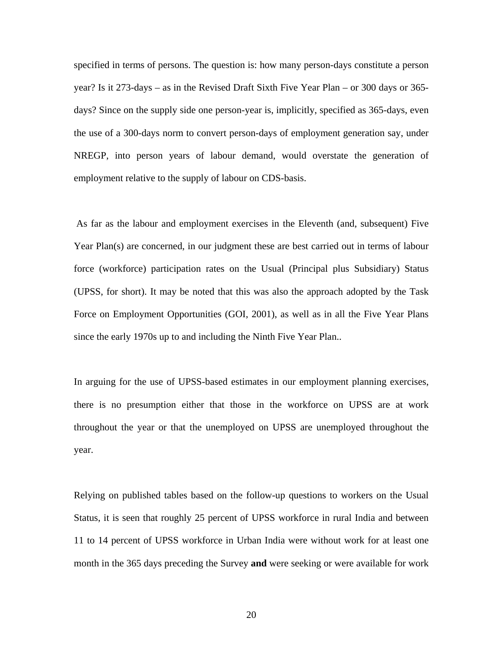specified in terms of persons. The question is: how many person-days constitute a person year? Is it 273-days – as in the Revised Draft Sixth Five Year Plan – or 300 days or 365 days? Since on the supply side one person-year is, implicitly, specified as 365-days, even the use of a 300-days norm to convert person-days of employment generation say, under NREGP, into person years of labour demand, would overstate the generation of employment relative to the supply of labour on CDS-basis.

As far as the labour and employment exercises in the Eleventh (and, subsequent) Five Year Plan(s) are concerned, in our judgment these are best carried out in terms of labour force (workforce) participation rates on the Usual (Principal plus Subsidiary) Status (UPSS, for short). It may be noted that this was also the approach adopted by the Task Force on Employment Opportunities (GOI, 2001), as well as in all the Five Year Plans since the early 1970s up to and including the Ninth Five Year Plan..

In arguing for the use of UPSS-based estimates in our employment planning exercises, there is no presumption either that those in the workforce on UPSS are at work throughout the year or that the unemployed on UPSS are unemployed throughout the year.

Relying on published tables based on the follow-up questions to workers on the Usual Status, it is seen that roughly 25 percent of UPSS workforce in rural India and between 11 to 14 percent of UPSS workforce in Urban India were without work for at least one month in the 365 days preceding the Survey **and** were seeking or were available for work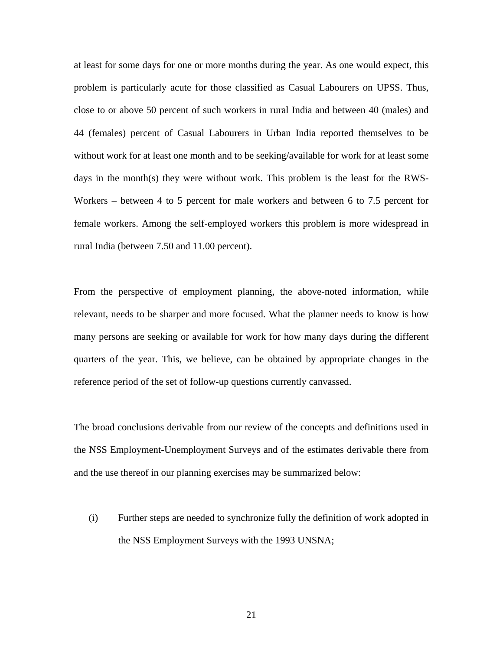at least for some days for one or more months during the year. As one would expect, this problem is particularly acute for those classified as Casual Labourers on UPSS. Thus, close to or above 50 percent of such workers in rural India and between 40 (males) and 44 (females) percent of Casual Labourers in Urban India reported themselves to be without work for at least one month and to be seeking/available for work for at least some days in the month(s) they were without work. This problem is the least for the RWS-Workers – between 4 to 5 percent for male workers and between 6 to 7.5 percent for female workers. Among the self-employed workers this problem is more widespread in rural India (between 7.50 and 11.00 percent).

From the perspective of employment planning, the above-noted information, while relevant, needs to be sharper and more focused. What the planner needs to know is how many persons are seeking or available for work for how many days during the different quarters of the year. This, we believe, can be obtained by appropriate changes in the reference period of the set of follow-up questions currently canvassed.

The broad conclusions derivable from our review of the concepts and definitions used in the NSS Employment-Unemployment Surveys and of the estimates derivable there from and the use thereof in our planning exercises may be summarized below:

(i) Further steps are needed to synchronize fully the definition of work adopted in the NSS Employment Surveys with the 1993 UNSNA;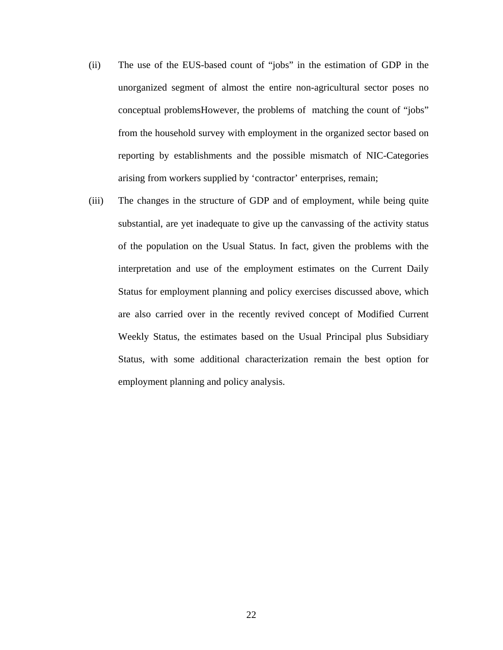- (ii) The use of the EUS-based count of "jobs" in the estimation of GDP in the unorganized segment of almost the entire non-agricultural sector poses no conceptual problemsHowever, the problems of matching the count of "jobs" from the household survey with employment in the organized sector based on reporting by establishments and the possible mismatch of NIC-Categories arising from workers supplied by 'contractor' enterprises, remain;
- (iii) The changes in the structure of GDP and of employment, while being quite substantial, are yet inadequate to give up the canvassing of the activity status of the population on the Usual Status. In fact, given the problems with the interpretation and use of the employment estimates on the Current Daily Status for employment planning and policy exercises discussed above, which are also carried over in the recently revived concept of Modified Current Weekly Status, the estimates based on the Usual Principal plus Subsidiary Status, with some additional characterization remain the best option for employment planning and policy analysis.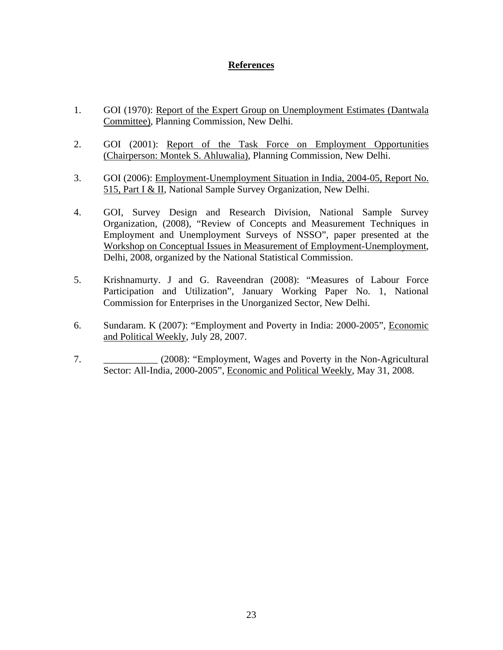## **References**

- 1. GOI (1970): Report of the Expert Group on Unemployment Estimates (Dantwala Committee), Planning Commission, New Delhi.
- 2. GOI (2001): Report of the Task Force on Employment Opportunities (Chairperson: Montek S. Ahluwalia), Planning Commission, New Delhi.
- 3. GOI (2006): Employment-Unemployment Situation in India, 2004-05, Report No. 515, Part I & II, National Sample Survey Organization, New Delhi.
- 4. GOI, Survey Design and Research Division, National Sample Survey Organization, (2008), "Review of Concepts and Measurement Techniques in Employment and Unemployment Surveys of NSSO", paper presented at the Workshop on Conceptual Issues in Measurement of Employment-Unemployment, Delhi, 2008, organized by the National Statistical Commission.
- 5. Krishnamurty. J and G. Raveendran (2008): "Measures of Labour Force Participation and Utilization", January Working Paper No. 1, National Commission for Enterprises in the Unorganized Sector, New Delhi.
- 6. Sundaram. K (2007): "Employment and Poverty in India: 2000-2005", Economic and Political Weekly, July 28, 2007.
- 7. \_\_\_\_\_\_\_\_\_\_\_ (2008): "Employment, Wages and Poverty in the Non-Agricultural Sector: All-India, 2000-2005", Economic and Political Weekly, May 31, 2008.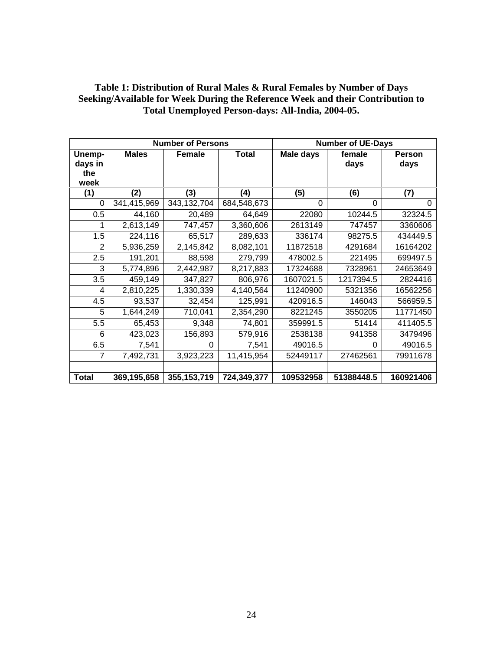| Table 1: Distribution of Rural Males & Rural Females by Number of Days         |
|--------------------------------------------------------------------------------|
| Seeking/Available for Week During the Reference Week and their Contribution to |
| Total Unemployed Person-days: All-India, 2004-05.                              |

|                                  |              | <b>Number of Persons</b> |                  | <b>Number of UE-Days</b> |                |                       |  |
|----------------------------------|--------------|--------------------------|------------------|--------------------------|----------------|-----------------------|--|
| Unemp-<br>days in<br>the<br>week | <b>Males</b> | <b>Female</b>            | <b>Total</b>     | Male days                | female<br>days | <b>Person</b><br>days |  |
| (1)                              | (2)          | (3)                      | (4)              | (5)                      | (6)            | (7)                   |  |
| $\Omega$                         | 341,415,969  | 343,132,704              | 684,548,673      | $\Omega$                 | $\Omega$       | 0                     |  |
| 0.5                              | 44,160       | 20,489                   | 64,649           | 22080                    | 10244.5        | 32324.5               |  |
|                                  | 2,613,149    | 747,457                  | 3,360,606        | 2613149                  | 747457         | 3360606               |  |
| 1.5                              | 224,116      | 65,517                   | 289,633          | 336174                   | 98275.5        | 434449.5              |  |
| $\overline{2}$                   | 5,936,259    | 2,145,842                | 8,082,101        | 11872518                 | 4291684        | 16164202              |  |
| 2.5                              | 191,201      | 88,598                   | 279,799          | 478002.5                 | 221495         | 699497.5              |  |
| 3                                | 5,774,896    | 2,442,987                | 8,217,883        | 17324688                 | 7328961        | 24653649              |  |
| 3.5                              | 459,149      | 347,827                  | 806,976          | 1607021.5                | 1217394.5      | 2824416               |  |
| 4                                | 2,810,225    | 1,330,339                | 4,140,564        | 11240900                 | 5321356        | 16562256              |  |
| 4.5                              | 93,537       | 32,454                   | 125,991          | 420916.5                 | 146043         | 566959.5              |  |
| 5                                | 1,644,249    | 710,041                  | 2,354,290        | 8221245                  | 3550205        | 11771450              |  |
| 5.5                              | 65,453       | 9,348                    | 74,801           | 359991.5<br>51414        |                | 411405.5              |  |
| 6                                | 423,023      | 156,893                  | 579,916          | 2538138<br>941358        |                | 3479496               |  |
| 6.5                              | 7,541        | $\Omega$                 | 7,541<br>49016.5 |                          | 0              | 49016.5               |  |
| $\overline{7}$                   | 7,492,731    | 3,923,223                | 11,415,954       | 52449117                 | 27462561       | 79911678              |  |
|                                  |              |                          |                  |                          |                |                       |  |
| <b>Total</b>                     | 369,195,658  | 355, 153, 719            | 724,349,377      | 109532958                | 51388448.5     | 160921406             |  |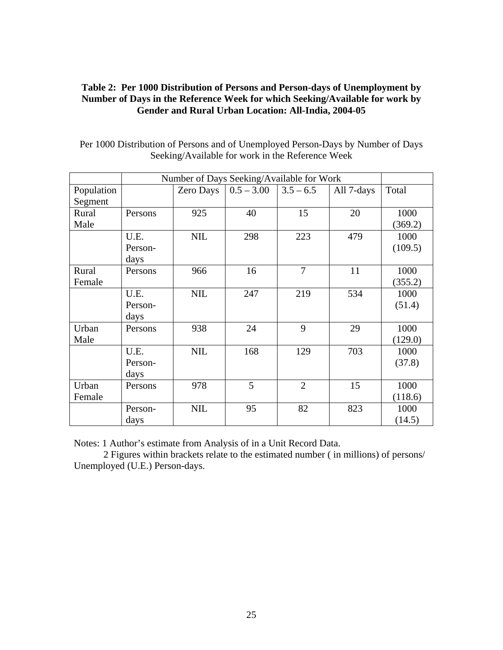## **Table 2: Per 1000 Distribution of Persons and Person-days of Unemployment by Number of Days in the Reference Week for which Seeking/Available for work by Gender and Rural Urban Location: All-India, 2004-05**

|                  | Number of Days Seeking/Available for Work |            |     |                |            |         |
|------------------|-------------------------------------------|------------|-----|----------------|------------|---------|
| Population       | $0.5 - 3.00$<br>$3.5 - 6.5$<br>Zero Days  |            |     |                | All 7-days | Total   |
| Segment          |                                           |            |     |                |            |         |
| Rural            | Persons                                   |            | 40  | 15             | 20         | 1000    |
| Male             |                                           |            |     |                |            | (369.2) |
|                  | U.E.                                      | <b>NIL</b> | 298 | 223            | 479        | 1000    |
|                  | Person-                                   |            |     |                |            | (109.5) |
|                  | days                                      |            |     |                |            |         |
| Rural            | Persons                                   | 966        | 16  | $\overline{7}$ | 11         | 1000    |
| Female           |                                           |            |     |                |            | (355.2) |
|                  | U.E.                                      | <b>NIL</b> | 247 | 219            | 534        | 1000    |
|                  | Person-                                   |            |     |                |            | (51.4)  |
|                  | days                                      |            |     |                |            |         |
| Urban<br>Persons |                                           | 938        | 24  | 9              | 29         | 1000    |
| Male             |                                           |            |     |                |            | (129.0) |
|                  | U.E.                                      | <b>NIL</b> | 168 | 129            | 703        | 1000    |
|                  | Person-                                   |            |     |                |            | (37.8)  |
|                  | days                                      |            |     |                |            |         |
| Urban            | Persons                                   | 978        | 5   | $\overline{2}$ | 15         | 1000    |
| Female           |                                           |            |     |                |            | (118.6) |
|                  | Person-                                   | <b>NIL</b> | 95  | 82             | 823        | 1000    |
|                  | days                                      |            |     |                |            | (14.5)  |

Per 1000 Distribution of Persons and of Unemployed Person-Days by Number of Days Seeking/Available for work in the Reference Week

Notes: 1 Author's estimate from Analysis of in a Unit Record Data.

 2 Figures within brackets relate to the estimated number ( in millions) of persons/ Unemployed (U.E.) Person-days.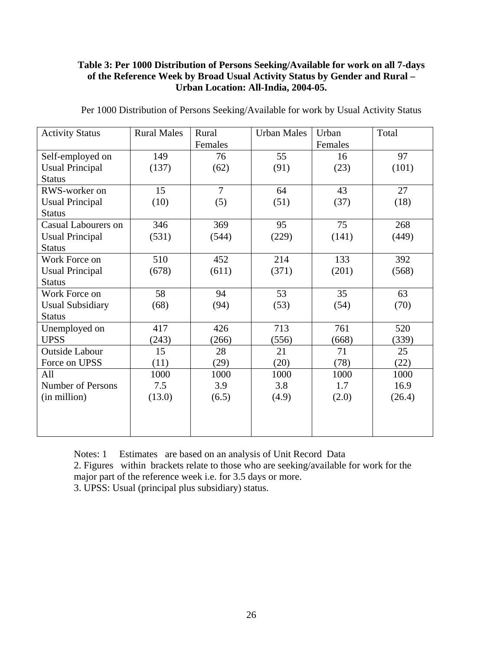## **Table 3: Per 1000 Distribution of Persons Seeking/Available for work on all 7-days of the Reference Week by Broad Usual Activity Status by Gender and Rural – Urban Location: All-India, 2004-05.**

| <b>Activity Status</b>     | <b>Rural Males</b> | Rural<br>Females | <b>Urban Males</b> | Urban<br>Females | Total  |
|----------------------------|--------------------|------------------|--------------------|------------------|--------|
| Self-employed on           | 149                | 76               | 55                 | 16               | 97     |
| <b>Usual Principal</b>     |                    |                  |                    |                  |        |
|                            | (137)              | (62)             | (91)               | (23)             | (101)  |
| <b>Status</b>              |                    |                  |                    |                  |        |
| RWS-worker on              | 15                 | $\overline{7}$   | 64                 | 43               | 27     |
| <b>Usual Principal</b>     | (10)               | (5)              | (51)               | (37)             | (18)   |
| <b>Status</b>              |                    |                  |                    |                  |        |
| <b>Casual Labourers on</b> | 346                | 369              | 95                 | 75               | 268    |
| <b>Usual Principal</b>     | (531)              | (544)            | (229)              | (141)            | (449)  |
| <b>Status</b>              |                    |                  |                    |                  |        |
| Work Force on              | 510                | 452              | 214                | 133              | 392    |
| <b>Usual Principal</b>     | (678)              | (611)            | (371)              | (201)            | (568)  |
| <b>Status</b>              |                    |                  |                    |                  |        |
| Work Force on              | 58                 | 94               | 53                 | 35               | 63     |
| <b>Usual Subsidiary</b>    | (68)               | (94)             | (53)               | (54)             | (70)   |
| <b>Status</b>              |                    |                  |                    |                  |        |
| Unemployed on              | 417                | 426              | 713                | 761              | 520    |
| <b>UPSS</b>                | (243)              | (266)            | (556)              | (668)            | (339)  |
| <b>Outside Labour</b>      | 15                 | 28               | 21                 | 71               | 25     |
| Force on UPSS              | (11)               | (29)             | (20)               | (78)             | (22)   |
| All                        | 1000               | 1000             | 1000               | 1000             | 1000   |
| <b>Number of Persons</b>   | 7.5                | 3.9              | 3.8                | 1.7              | 16.9   |
| (in million)               | (13.0)             | (6.5)            | (4.9)              | (2.0)            | (26.4) |
|                            |                    |                  |                    |                  |        |
|                            |                    |                  |                    |                  |        |
|                            |                    |                  |                    |                  |        |

Per 1000 Distribution of Persons Seeking/Available for work by Usual Activity Status

Notes: 1 Estimates are based on an analysis of Unit Record Data 2. Figures within brackets relate to those who are seeking/available for work for the major part of the reference week i.e. for 3.5 days or more. 3. UPSS: Usual (principal plus subsidiary) status.